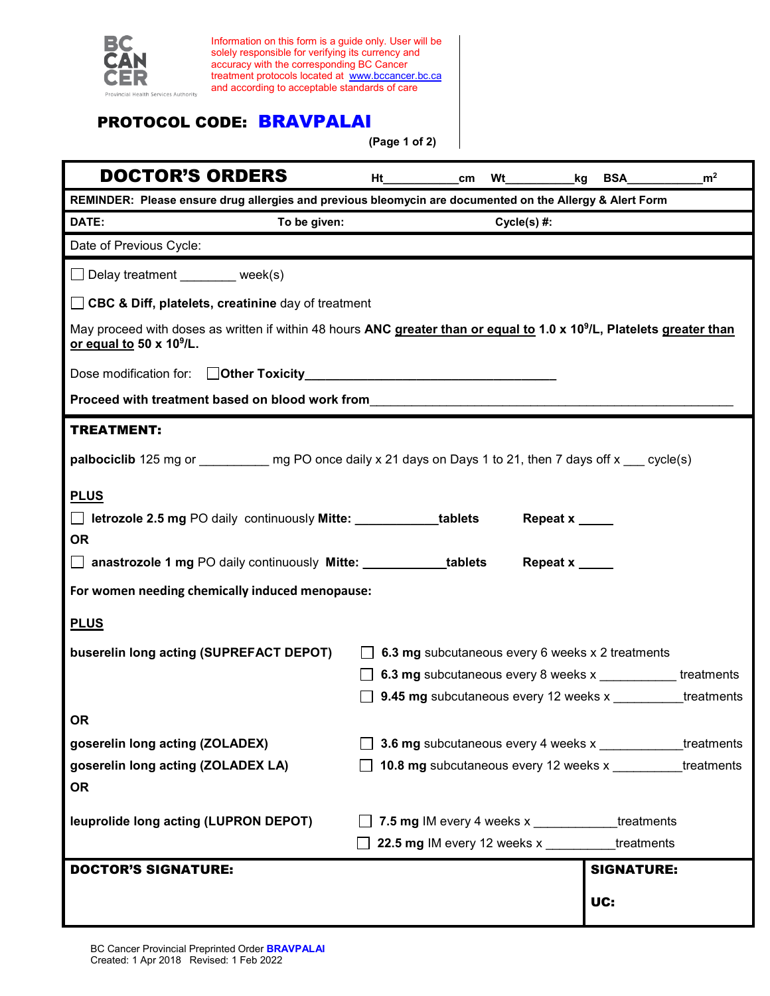

Information on this form is a guide only. User will be solely responsible for verifying its currency and accuracy with the corresponding BC Cancer treatment protocols located at [www.bccancer.bc.ca](http://www.bccancer.bc.ca/) and according to acceptable standards of care

## PROTOCOL CODE: BRAVPALAI

**(Page 1 of 2)**

| <b>DOCTOR'S ORDERS</b>                                                                                                                                                                                      | Ht                                                         | cm                                                |  | <b>Wt</b><br>kg | BSA               | m <sup>2</sup>                                                    |  |
|-------------------------------------------------------------------------------------------------------------------------------------------------------------------------------------------------------------|------------------------------------------------------------|---------------------------------------------------|--|-----------------|-------------------|-------------------------------------------------------------------|--|
| REMINDER: Please ensure drug allergies and previous bleomycin are documented on the Allergy & Alert Form                                                                                                    |                                                            |                                                   |  |                 |                   |                                                                   |  |
| DATE:<br>To be given:<br>$Cycle(s)$ #:                                                                                                                                                                      |                                                            |                                                   |  |                 |                   |                                                                   |  |
| Date of Previous Cycle:                                                                                                                                                                                     |                                                            |                                                   |  |                 |                   |                                                                   |  |
| Delay treatment _________ week(s)                                                                                                                                                                           |                                                            |                                                   |  |                 |                   |                                                                   |  |
| □ CBC & Diff, platelets, creatinine day of treatment                                                                                                                                                        |                                                            |                                                   |  |                 |                   |                                                                   |  |
| May proceed with doses as written if within 48 hours ANC greater than or equal to 1.0 x 10 <sup>9</sup> /L, Platelets greater than<br>or equal to 50 x 10 <sup>9</sup> /L.                                  |                                                            |                                                   |  |                 |                   |                                                                   |  |
|                                                                                                                                                                                                             |                                                            |                                                   |  |                 |                   |                                                                   |  |
| Proceed with treatment based on blood work from                                                                                                                                                             |                                                            |                                                   |  |                 |                   |                                                                   |  |
| <b>TREATMENT:</b>                                                                                                                                                                                           |                                                            |                                                   |  |                 |                   |                                                                   |  |
| <b>palbociclib</b> 125 mg or mg PO once daily x 21 days on Days 1 to 21, then 7 days off x cycle(s)                                                                                                         |                                                            |                                                   |  |                 |                   |                                                                   |  |
| <b>PLUS</b><br><b>I</b> letrozole 2.5 mg PO daily continuously Mitte: ______________tablets<br>Repeat x<br><b>OR</b><br>anastrozole 1 mg PO daily continuously Mitte: ____________tablets<br>Repeat x _____ |                                                            |                                                   |  |                 |                   |                                                                   |  |
| For women needing chemically induced menopause:                                                                                                                                                             |                                                            |                                                   |  |                 |                   |                                                                   |  |
| <u>PLUS</u>                                                                                                                                                                                                 |                                                            |                                                   |  |                 |                   |                                                                   |  |
| buserelin long acting (SUPREFACT DEPOT)                                                                                                                                                                     |                                                            | 6.3 mg subcutaneous every 6 weeks x 2 treatments  |  |                 |                   |                                                                   |  |
|                                                                                                                                                                                                             |                                                            |                                                   |  |                 |                   | <b>6.3 mg</b> subcutaneous every 8 weeks x ____________treatments |  |
|                                                                                                                                                                                                             |                                                            |                                                   |  |                 |                   | <b>9.45 mg</b> subcutaneous every 12 weeks x treatments           |  |
| 0R                                                                                                                                                                                                          |                                                            |                                                   |  |                 |                   |                                                                   |  |
| goserelin long acting (ZOLADEX)                                                                                                                                                                             | 3.6 mg subcutaneous every 4 weeks x<br>treatments          |                                                   |  |                 |                   |                                                                   |  |
| goserelin long acting (ZOLADEX LA)                                                                                                                                                                          | 10.8 mg subcutaneous every 12 weeks x __________treatments |                                                   |  |                 |                   |                                                                   |  |
| <b>OR</b>                                                                                                                                                                                                   |                                                            |                                                   |  |                 |                   |                                                                   |  |
| leuprolide long acting (LUPRON DEPOT)                                                                                                                                                                       |                                                            | 7.5 mg IM every 4 weeks x _____________treatments |  |                 |                   |                                                                   |  |
|                                                                                                                                                                                                             |                                                            | 22.5 mg IM every 12 weeks x ________              |  |                 |                   | treatments                                                        |  |
| <b>DOCTOR'S SIGNATURE:</b>                                                                                                                                                                                  |                                                            |                                                   |  |                 | <b>SIGNATURE:</b> |                                                                   |  |
|                                                                                                                                                                                                             |                                                            |                                                   |  |                 | UC:               |                                                                   |  |